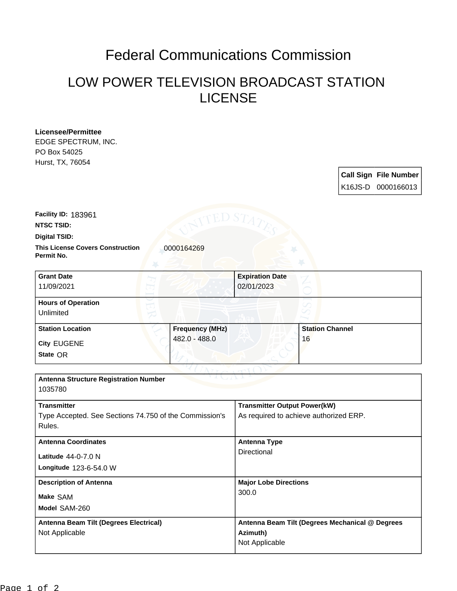## Federal Communications Commission

## LOW POWER TELEVISION BROADCAST STATION LICENSE

**Licensee/Permittee** EDGE SPECTRUM, INC. PO Box 54025 Hurst, TX, 76054

|  | <b>Call Sign File Number</b><br>K16JS-D 0000166013 |
|--|----------------------------------------------------|

**Facility ID:** 183961

**NTSC TSID:**

**Digital TSID:**

**This License Covers Construction**  0000164269 **Permit No.**

| <b>Grant Date</b><br>11/09/2021        | <b>Expiration Date</b><br>02/01/2023 |                        |  |
|----------------------------------------|--------------------------------------|------------------------|--|
| <b>Hours of Operation</b><br>Unlimited |                                      |                        |  |
| <b>Station Location</b>                | <b>Frequency (MHz)</b>               | <b>Station Channel</b> |  |
| <b>City EUGENE</b><br>State OR         | 482.0 - 488.0                        | 16                     |  |

| <b>Antenna Structure Registration Number</b>           |                                                 |  |  |  |  |  |
|--------------------------------------------------------|-------------------------------------------------|--|--|--|--|--|
| 1035780                                                |                                                 |  |  |  |  |  |
|                                                        |                                                 |  |  |  |  |  |
| <b>Transmitter</b>                                     | <b>Transmitter Output Power(kW)</b>             |  |  |  |  |  |
| Type Accepted. See Sections 74.750 of the Commission's | As required to achieve authorized ERP.          |  |  |  |  |  |
| Rules.                                                 |                                                 |  |  |  |  |  |
|                                                        |                                                 |  |  |  |  |  |
| <b>Antenna Coordinates</b>                             | Antenna Type                                    |  |  |  |  |  |
| Latitude $44-0-7.0$ N                                  | Directional                                     |  |  |  |  |  |
|                                                        |                                                 |  |  |  |  |  |
| Longitude 123-6-54.0 W                                 |                                                 |  |  |  |  |  |
| <b>Description of Antenna</b>                          | <b>Major Lobe Directions</b>                    |  |  |  |  |  |
|                                                        | 300.0                                           |  |  |  |  |  |
| Make SAM                                               |                                                 |  |  |  |  |  |
| Model SAM-260                                          |                                                 |  |  |  |  |  |
| Antenna Beam Tilt (Degrees Electrical)                 | Antenna Beam Tilt (Degrees Mechanical @ Degrees |  |  |  |  |  |
| Not Applicable                                         | Azimuth)                                        |  |  |  |  |  |
|                                                        | Not Applicable                                  |  |  |  |  |  |
|                                                        |                                                 |  |  |  |  |  |